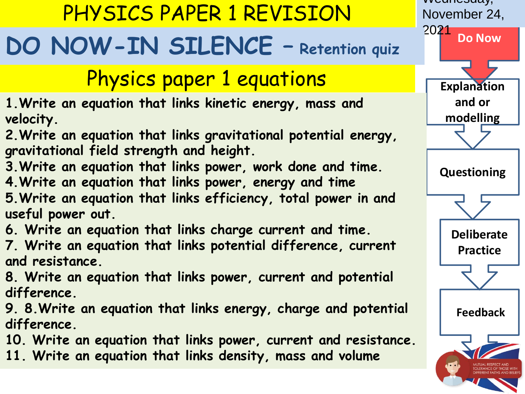### PHYSICS PAPER 1 REVISION

## **DO NOW-IN SILENCE – Retention quiz**

### Physics paper 1 equations

- **1.Write an equation that links kinetic energy, mass and velocity.**
- **2.Write an equation that links gravitational potential energy, gravitational field strength and height.**
- **3.Write an equation that links power, work done and time. 4.Write an equation that links power, energy and time**
- **5.Write an equation that links efficiency, total power in and useful power out.**
- **6. Write an equation that links charge current and time.**
- **7. Write an equation that links potential difference, current and resistance.**
- **8. Write an equation that links power, current and potential difference.**
- **9. 8.Write an equation that links energy, charge and potential difference.**
- **10. Write an equation that links power, current and resistance.**
- **11. Write an equation that links density, mass and volume**

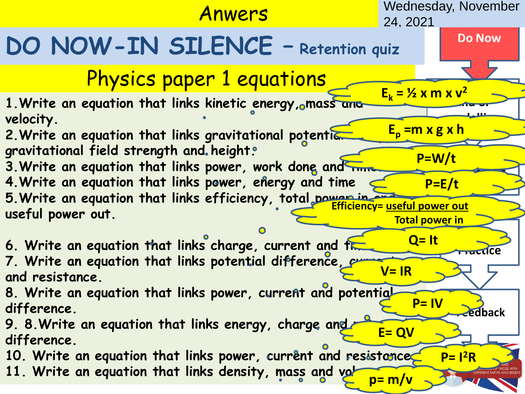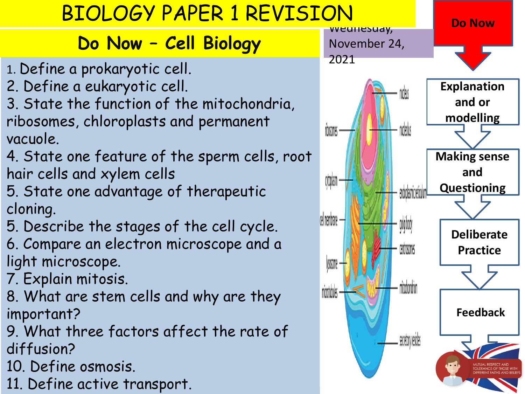### BIOLOGY PAPER 1 REVISION

#### **Do Now – Cell Biology**

- 1. Define a prokaryotic cell.
- 2. Define a eukaryotic cell.
- 3. State the function of the mitochondria, ribosomes, chloroplasts and permanent vacuole.
- 4. State one feature of the sperm cells, root hair cells and xylem cells
- 5. State one advantage of therapeutic cloning.
- 5. Describe the stages of the cell cycle.
- 6. Compare an electron microscope and a light microscope.
- 7. Explain mitosis.
- 8. What are stem cells and why are they important?
- 9. What three factors affect the rate of diffusion?
- 10. Define osmosis.
- 11. Define active transport.

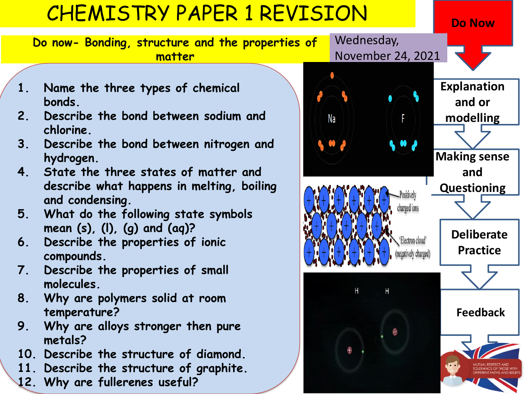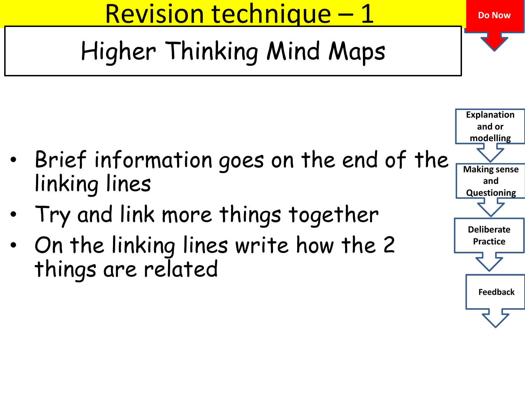Revision technique – 1

[H](https://www.google.co.uk/imgres?imgurl=https://images.slideplayer.com/16/5210764/slides/slide_5.jpg&imgrefurl=https://slideplayer.com/slide/5210764/&docid=i6v5hG1y9R3rQM&tbnid=wW_8Da2uUm_DoM:&vet=10ahUKEwj20pifqcPkAhWQZMAKHVuEBWwQMwhTKAIwAg..i&w=960&h=720&safe=strict&bih=756&biw=1587&q=high%20and%20low%20spring%20constant&ved=0ahUKEwj20pifqcPkAhWQZMAKHVuEBWwQMwhTKAIwAg&iact=mrc&uact=8)igher Thinking Mind Maps

- Brief information goes on the end of the linking lines
- Try and link more things together
- On the linking lines write how the 2 things are related



**Do Now**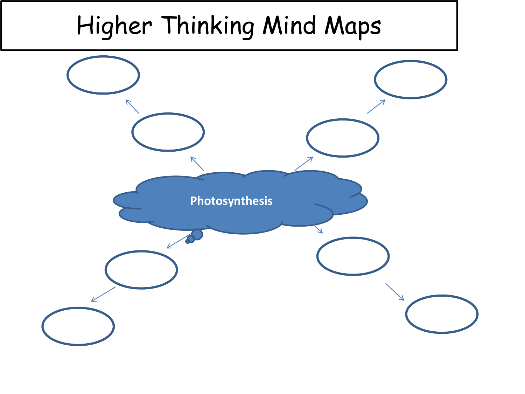# Higher Thinking Mind Maps

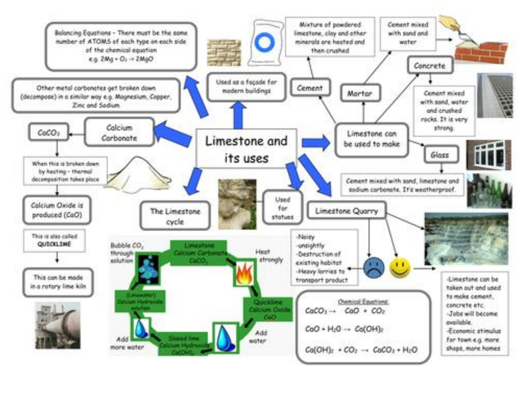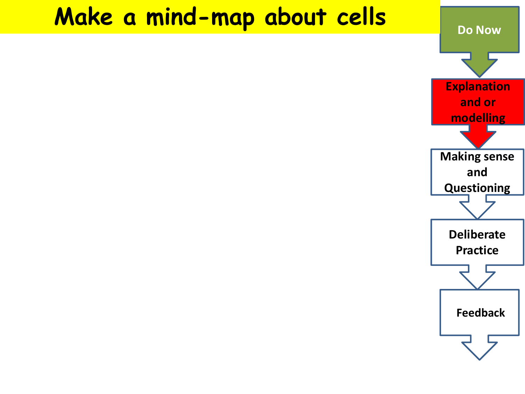## **Make a mind-map about cells**

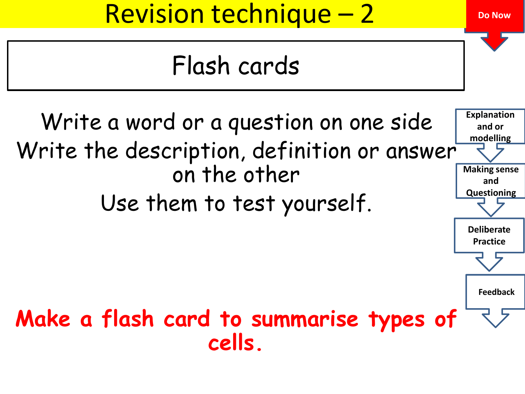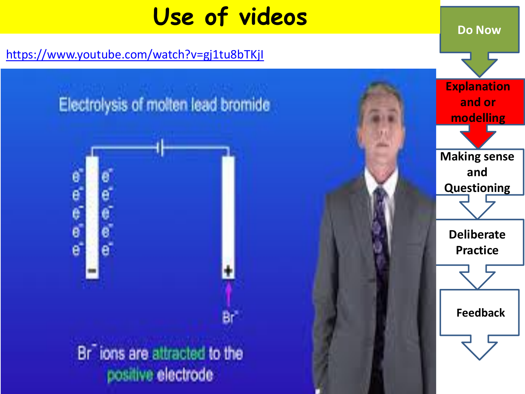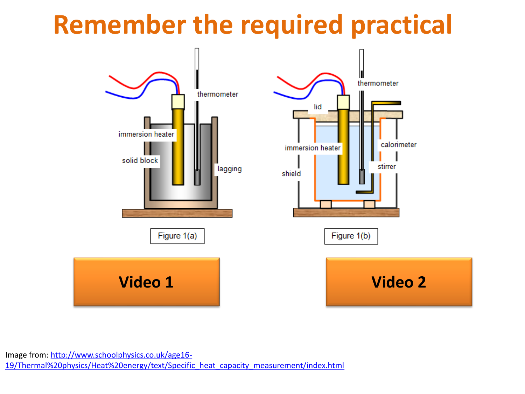# **Remember the required practical**



Image from: http://www.schoolphysics.co.uk/age16- [19/Thermal%20physics/Heat%20energy/text/Specific\\_heat\\_capacity\\_measurement/index.html](http://www.schoolphysics.co.uk/age16-19/Thermal%20physics/Heat%20energy/text/Specific_heat_capacity_measurement/index.html)